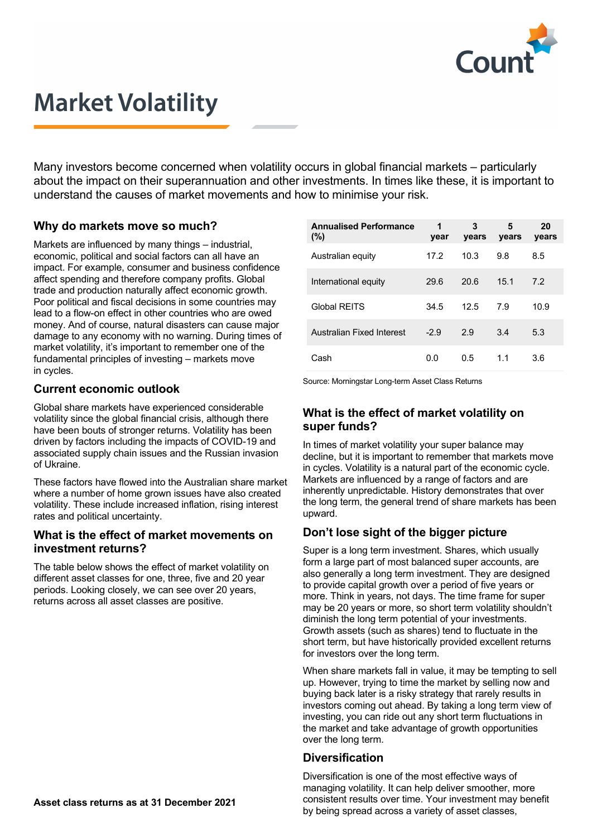

# **Market Volatility**

Many investors become concerned when volatility occurs in global financial markets – particularly about the impact on their superannuation and other investments. In times like these, it is important to understand the causes of market movements and how to minimise your risk.

#### **Why do markets move so much?**

Markets are influenced by many things – industrial, economic, political and social factors can all have an impact. For example, consumer and business confidence affect spending and therefore company profits. Global trade and production naturally affect economic growth. Poor political and fiscal decisions in some countries may lead to a flow-on effect in other countries who are owed money. And of course, natural disasters can cause major damage to any economy with no warning. During times of market volatility, it's important to remember one of the fundamental principles of investing – markets move in cycles.

#### **Current economic outlook**

Global share markets have experienced considerable volatility since the global financial crisis, although there have been bouts of stronger returns. Volatility has been driven by factors including the impacts of COVID-19 and associated supply chain issues and the Russian invasion of Ukraine.

These factors have flowed into the Australian share market where a number of home grown issues have also created volatility. These include increased inflation, rising interest rates and political uncertainty.

#### **What is the effect of market movements on investment returns?**

The table below shows the effect of market volatility on different asset classes for one, three, five and 20 year periods. Looking closely, we can see over 20 years, returns across all asset classes are positive.

| <b>Annualised Performance</b><br>$(\%)$ | 1<br>year | 3<br>years | 5<br>years | 20<br>years |
|-----------------------------------------|-----------|------------|------------|-------------|
| Australian equity                       | 17.2      | 10.3       | 9.8        | 8.5         |
| International equity                    | 29.6      | 20.6       | 15.1       | 7.2         |
| Global RFITS                            | 34.5      | 12.5       | 7.9        | 10.9        |
| Australian Fixed Interest               | $-2.9$    | 2.9        | 3.4        | 5.3         |
| Cash                                    | 0.0       | 0.5        | 1.1        | 3.6         |

Source: Morningstar Long-term Asset Class Returns

### **What is the effect of market volatility on super funds?**

In times of market volatility your super balance may decline, but it is important to remember that markets move in cycles. Volatility is a natural part of the economic cycle. Markets are influenced by a range of factors and are inherently unpredictable. History demonstrates that over the long term, the general trend of share markets has been upward.

# **Don't lose sight of the bigger picture**

Super is a long term investment. Shares, which usually form a large part of most balanced super accounts, are also generally a long term investment. They are designed to provide capital growth over a period of five years or more. Think in years, not days. The time frame for super may be 20 years or more, so short term volatility shouldn't diminish the long term potential of your investments. Growth assets (such as shares) tend to fluctuate in the short term, but have historically provided excellent returns for investors over the long term.

When share markets fall in value, it may be tempting to sell up. However, trying to time the market by selling now and buying back later is a risky strategy that rarely results in investors coming out ahead. By taking a long term view of investing, you can ride out any short term fluctuations in the market and take advantage of growth opportunities over the long term.

### **Diversification**

Diversification is one of the most effective ways of managing volatility. It can help deliver smoother, more consistent results over time. Your investment may benefit by being spread across a variety of asset classes,